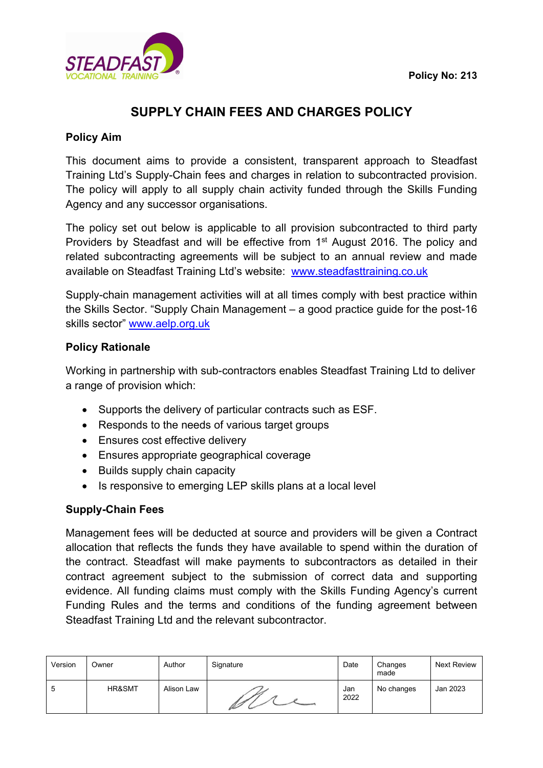

# **SUPPLY CHAIN FEES AND CHARGES POLICY**

## **Policy Aim**

This document aims to provide a consistent, transparent approach to Steadfast Training Ltd's Supply-Chain fees and charges in relation to subcontracted provision. The policy will apply to all supply chain activity funded through the Skills Funding Agency and any successor organisations.

The policy set out below is applicable to all provision subcontracted to third party Providers by Steadfast and will be effective from 1<sup>st</sup> August 2016. The policy and related subcontracting agreements will be subject to an annual review and made available on Steadfast Training Ltd's website: [www.steadfasttraining.co.uk](http://www.steadfasttraining.co.uk/) 

Supply-chain management activities will at all times comply with best practice within the Skills Sector. "Supply Chain Management – a good practice guide for the post-16 skills sector" [www.aelp.org.uk](http://www.aelp.org.uk/)

### **Policy Rationale**

Working in partnership with sub-contractors enables Steadfast Training Ltd to deliver a range of provision which:

- Supports the delivery of particular contracts such as ESF.
- Responds to the needs of various target groups
- Ensures cost effective delivery
- Ensures appropriate geographical coverage
- Builds supply chain capacity
- Is responsive to emerging LEP skills plans at a local level

### **Supply-Chain Fees**

Management fees will be deducted at source and providers will be given a Contract allocation that reflects the funds they have available to spend within the duration of the contract. Steadfast will make payments to subcontractors as detailed in their contract agreement subject to the submission of correct data and supporting evidence. All funding claims must comply with the Skills Funding Agency's current Funding Rules and the terms and conditions of the funding agreement between Steadfast Training Ltd and the relevant subcontractor.

| Version | Owner  | Author     | Signature | Date        | Changes<br>made | Next Review |
|---------|--------|------------|-----------|-------------|-----------------|-------------|
| ა       | HR&SMT | Alison Law | Ø         | Jan<br>2022 | No changes      | Jan 2023    |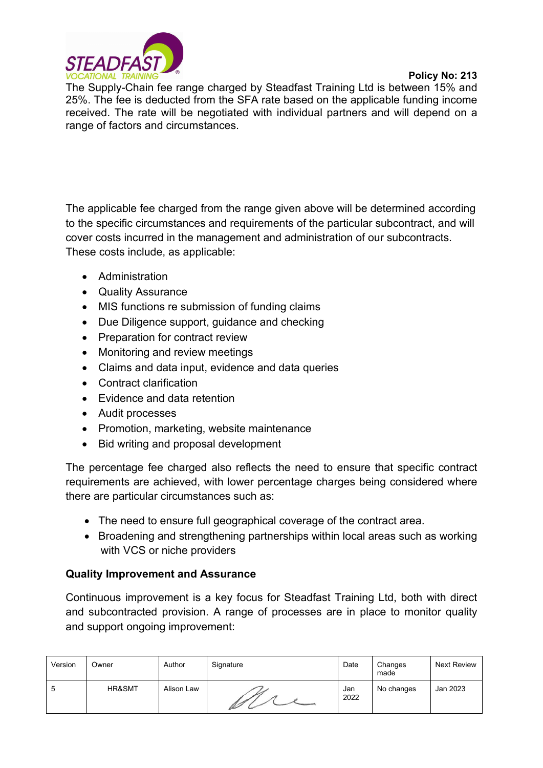

#### **Policy No: 213**

The Supply-Chain fee range charged by Steadfast Training Ltd is between 15% and 25%. The fee is deducted from the SFA rate based on the applicable funding income received. The rate will be negotiated with individual partners and will depend on a range of factors and circumstances.

The applicable fee charged from the range given above will be determined according to the specific circumstances and requirements of the particular subcontract, and will cover costs incurred in the management and administration of our subcontracts. These costs include, as applicable:

- Administration
- Quality Assurance
- MIS functions re submission of funding claims
- Due Diligence support, guidance and checking
- Preparation for contract review
- Monitoring and review meetings
- Claims and data input, evidence and data queries
- Contract clarification
- Evidence and data retention
- Audit processes
- Promotion, marketing, website maintenance
- Bid writing and proposal development

The percentage fee charged also reflects the need to ensure that specific contract requirements are achieved, with lower percentage charges being considered where there are particular circumstances such as:

- The need to ensure full geographical coverage of the contract area.
- Broadening and strengthening partnerships within local areas such as working with VCS or niche providers

### **Quality Improvement and Assurance**

Continuous improvement is a key focus for Steadfast Training Ltd, both with direct and subcontracted provision. A range of processes are in place to monitor quality and support ongoing improvement:

| Version | Owner  | Author     | Signature | Date        | Changes<br>made | <b>Next Review</b> |
|---------|--------|------------|-----------|-------------|-----------------|--------------------|
| 5       | HR&SMT | Alison Law |           | Jan<br>2022 | No changes      | Jan 2023           |